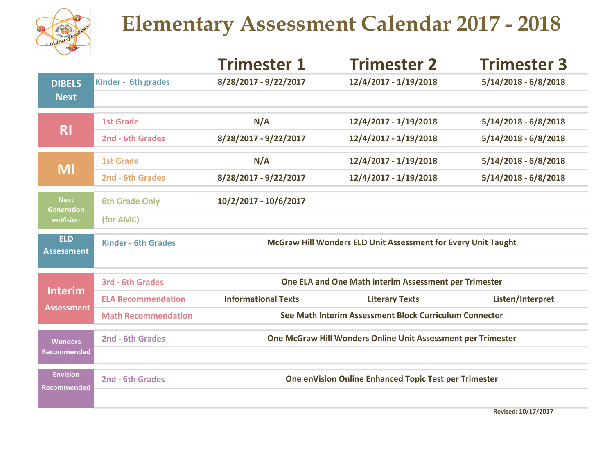

## Elementary Assessment Calendar 2017 - 2018

|                            | Trimester 1                                                   | <b>Trimester 2</b>    | <b>Trimester 3</b>     |  |  |
|----------------------------|---------------------------------------------------------------|-----------------------|------------------------|--|--|
| Kinder - 6th grades        | 8/28/2017 - 9/22/2017                                         | 12/4/2017 - 1/19/2018 | $5/14/2018 - 6/8/2018$ |  |  |
|                            |                                                               |                       |                        |  |  |
| <b>1st Grade</b>           | N/A                                                           | 12/4/2017 - 1/19/2018 | $5/14/2018 - 6/8/2018$ |  |  |
| 2nd - 6th Grades           | 8/28/2017 - 9/22/2017                                         | 12/4/2017 - 1/19/2018 | $5/14/2018 - 6/8/2018$ |  |  |
| <b>1st Grade</b>           | N/A                                                           | 12/4/2017 - 1/19/2018 | $5/14/2018 - 6/8/2018$ |  |  |
| 2nd - 6th Grades           | 8/28/2017 - 9/22/2017                                         | 12/4/2017 - 1/19/2018 | $5/14/2018 - 6/8/2018$ |  |  |
| <b>6th Grade Only</b>      | 10/2/2017 - 10/6/2017                                         |                       |                        |  |  |
| (for AMC)                  |                                                               |                       |                        |  |  |
| <b>Kinder - 6th Grades</b> | McGraw Hill Wonders ELD Unit Assessment for Every Unit Taught |                       |                        |  |  |
|                            |                                                               |                       |                        |  |  |
| <b>3rd - 6th Grades</b>    | One ELA and One Math Interim Assessment per Trimester         |                       |                        |  |  |
| <b>ELA Recommendation</b>  | <b>Informational Texts</b>                                    | <b>Literary Texts</b> | Listen/Interpret       |  |  |
| <b>Math Recommendation</b> | See Math Interim Assessment Block Curriculum Connector        |                       |                        |  |  |
| 2nd - 6th Grades           | One McGraw Hill Wonders Online Unit Assessment per Trimester  |                       |                        |  |  |
|                            |                                                               |                       |                        |  |  |
| 2nd - 6th Grades           | One enVision Online Enhanced Topic Test per Trimester         |                       |                        |  |  |
|                            |                                                               |                       |                        |  |  |
|                            |                                                               |                       |                        |  |  |

Revised: 10/17/2017